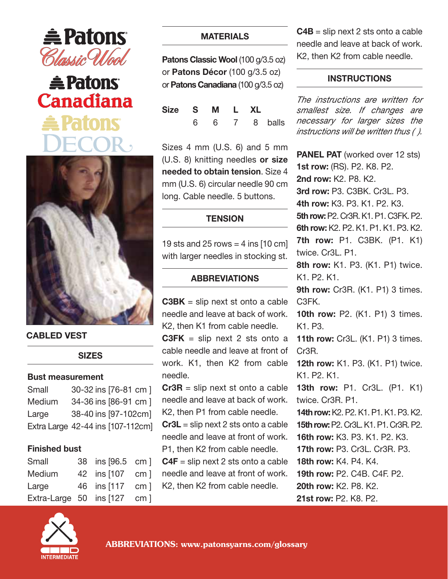





**CABLED VEST**

**SIZES**

### **Bust measurement**

| Small  | 30-32 ins [76-81 cm]              |
|--------|-----------------------------------|
| Medium | 34-36 ins [86-91 cm]              |
| Large  | 38-40 ins [97-102cm]              |
|        | Extra Large 42-44 ins [107-112cm] |

### **Finished bust**

| Small                       | 38 ins [96.5 cm ] |  |
|-----------------------------|-------------------|--|
| Medium                      | 42 ins [107 cm ]  |  |
| Large                       | 46 ins [117 cm ]  |  |
| Extra-Large 50 ins [127 cm] |                   |  |

# **MATERIALS**

Patons Classic Wool (100 g/3.5 oz) or **Patons Décor** (100 g/3.5 oz) or**Patons Canadiana** (100 g/3.5 oz)

| Size S M L XL |  |  |                   |
|---------------|--|--|-------------------|
|               |  |  | 6  6  7  8  balls |

Sizes 4 mm (U.S. 6) and 5 mm (U.S. 8) knitting needles **or size needed to obtain tension**. Size 4 mm (U.S. 6) circular needle 90 cm long. Cable needle. 5 buttons.

# **TENSION**

19 sts and 25 rows  $=$  4 ins [10 cm] with larger needles in stocking st.

## **ABBREVIATIONS**

**C3BK** = slip next st onto a cable needle and leave at back of work. K2, then K1 from cable needle.

**C3FK** = slip next 2 sts onto a cable needle and leave at front of work. K1, then K2 from cable needle.

**Cr3R** = slip next st onto a cable needle and leave at back of work. K2, then P1 from cable needle.

**Cr3L** = slip next 2 sts onto a cable needle and leave at front of work. P1, then K2 from cable needle.

**C4F** = slip next 2 sts onto a cable needle and leave at front of work. K2, then K2 from cable needle.

**C4B** = slip next 2 sts onto a cable needle and leave at back of work. K2, then K2 from cable needle.

## **INSTRUCTIONS**

*The instructions are written for smallest size. If changes are necessary for larger sizes the instructions will be written thus ( ).*

**PANEL PAT** (worked over 12 sts) **1st row:** (RS). P2. K8. P2. **2nd row:** K2. P8. K2. **3rd row:** P3. C3BK. Cr3L. P3. **4th row:** K3. P3. K1. P2. K3. **5th row:**P2. Cr3R. K1. P1. C3FK. P2. **6th row:** K2. P2. K1. P1. K1. P3. K2. **7th row:** P1. C3BK. (P1. K1) twice. Cr3L. P1. **8th row:** K1. P3. (K1. P1) twice. K1. P2. K1. **9th row:** Cr3R. (K1. P1) 3 times. C3FK. **10th row:** P2. (K1. P1) 3 times. K1. P3. **11th row:** Cr3L. (K1. P1) 3 times. Cr3R. **12th row: K1. P3. (K1. P1) twice.** K1. P2. K1. **13th row:** P1. Cr3L. (P1. K1) twice. Cr3R. P1. **14th row:**K2. P2. K1. P1. K1. P3. K2. **15th row:**P2. Cr3L. K1. P1. Cr3R. P2. **16th row:** K3. P3. K1. P2. K3. **17th row:** P3. Cr3L. Cr3R. P3. **18th row:** K4. P4. K4. **19th row:** P2. C4B. C4F. P2. **20th row:** K2. P8. K2. **21st row:** P2. K8. P2.

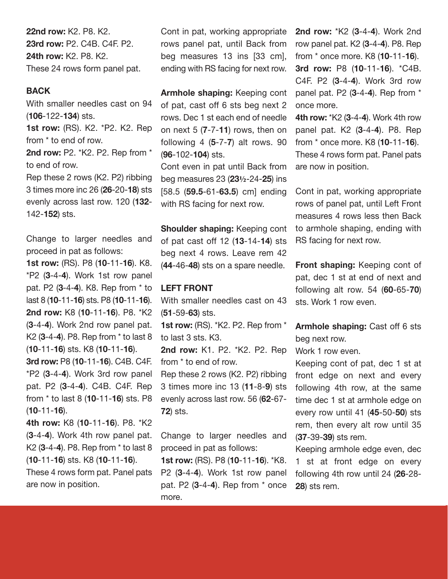**22nd row:** K2. P8. K2. **23rd row:** P2. C4B. C4F. P2. **24th row:** K2. P8. K2. These 24 rows form panel pat.

### **BACK**

With smaller needles cast on 94 (**106**-122-**134**) sts.

**1st row:** (RS). K2. \*P2. K2. Rep from \* to end of row.

**2nd row:** P2. \*K2. P2. Rep from \* to end of row.

Rep these 2 rows (K2. P2) ribbing 3 times more inc 26 (**26**-20-**18**) sts evenly across last row. 120 (**132**- 142-**152**) sts.

Change to larger needles and proceed in pat as follows:

**1st row:** (RS). P8 (**10**-11-**16**). K8. \*P2 (**3**-4-**4**). Work 1st row panel pat. P2 (**3**-4-**4**). K8. Rep from \* to last 8 (**10**-11-**16**) sts. P8 (**10**-11-**16**). **2nd row:** K8 (**10**-11-**16**). P8. \*K2 (**3**-4-**4**). Work 2nd row panel pat. K2 (**3**-4-**4**). P8. Rep from \* to last 8 (**10**-11-**16**) sts. K8 (**10**-11-**16**).

**3rd row:** P8 (**10**-11-**16**). C4B. C4F. \*P2 (**3**-4-**4**). Work 3rd row panel pat. P2 (**3**-4-**4**). C4B. C4F. Rep from \* to last 8 (**10**-11-**16**) sts. P8 (**10**-11-**16**).

**4th row:** K8 (**10**-11-**16**). P8. \*K2 (**3**-4-**4**). Work 4th row panel pat. K2 (**3**-4-**4**). P8. Rep from \* to last 8 (**10**-11-**16**) sts. K8 (**10**-11-**16**).

These 4 rows form pat. Panel pats are now in position.

Cont in pat, working appropriate rows panel pat, until Back from beg measures 13 ins [33 cm], ending with RS facing for next row.

**Armhole shaping:** Keeping cont of pat, cast off 6 sts beg next 2 rows. Dec 1 st each end of needle on next 5 (**7**-7-**11**) rows, then on following 4 (**5**-7-**7**) alt rows. 90 (**96**-102-**104**) sts.

Cont even in pat until Back from beg measures 23 (**23½**-24-**25**) ins [58.5 (**59.5**-61-**63.5**) cm] ending with RS facing for next row.

**Shoulder shaping:** Keeping cont of pat cast off 12 (**13**-14-**14**) sts beg next 4 rows. Leave rem 42 (**44**-46-**48**) sts on a spare needle.

#### **LEFT FRONT**

With smaller needles cast on 43 (**51**-59-**63**) sts.

**1st row:** (RS). \*K2. P2. Rep from \* to last 3 sts. K3.

**2nd row:** K1. P2. \*K2. P2. Rep from \* to end of row.

Rep these 2 rows (K2. P2) ribbing 3 times more inc 13 (**11**-8-**9**) sts evenly across last row. 56 (**62**-67- **72**) sts.

Change to larger needles and proceed in pat as follows:

**1st row:** (RS). P8 (**10**-11-**16**). \*K8. P2 (**3**-4-**4**). Work 1st row panel pat. P2 (**3**-4-**4**). Rep from \* once more.

**2nd row:** \*K2 (**3**-4-**4**). Work 2nd row panel pat. K2 (**3**-4-**4**). P8. Rep from \* once more. K8 (**10**-11-**16**). **3rd row:** P8 (**10**-11-**16**). \*C4B. C4F. P2 (**3**-4-**4**). Work 3rd row panel pat. P2 (**3**-4-**4**). Rep from \* once more.

**4th row:** \*K2 (**3**-4-**4**). Work 4th row panel pat. K2 (**3**-4-**4**). P8. Rep from \* once more. K8 (**10**-11-**16**). These 4 rows form pat. Panel pats are now in position.

Cont in pat, working appropriate rows of panel pat, until Left Front measures 4 rows less then Back to armhole shaping, ending with RS facing for next row.

**Front shaping:** Keeping cont of pat, dec 1 st at end of next and following alt row. 54 (**60**-65-**70**) sts. Work 1 row even.

**Armhole shaping:** Cast off 6 sts beg next row.

Work 1 row even.

Keeping cont of pat, dec 1 st at front edge on next and every following 4th row, at the same time dec 1 st at armhole edge on every row until 41 (**45**-50-**50**) sts rem, then every alt row until 35 (**37**-39-**39**) sts rem.

Keeping armhole edge even, dec 1 st at front edge on every following 4th row until 24 (**26**-28- **28**) sts rem.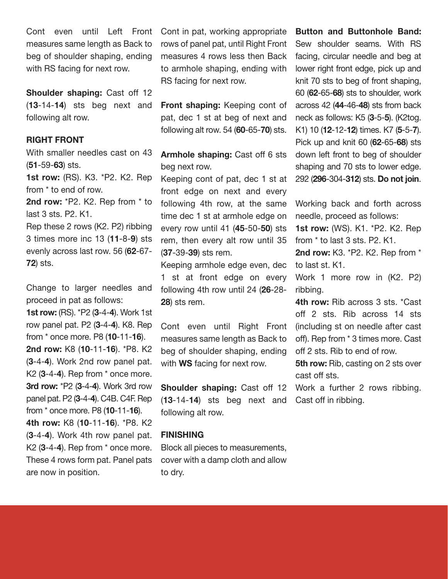Cont even until Left Front Cont-in-pat, working-appropriate measures same length as Back to beg of shoulder shaping, ending with RS facing for next row.

**Shoulder shaping:** Cast off 12 (**13**-14-**14**) sts beg next and following alt row.

### **RIGHT FRONT**

With smaller needles cast on 43 (**51**-59-**63**) sts.

**1st row:** (RS). K3. \*P2. K2. Rep from \* to end of row.

**2nd row:** \*P2. K2. Rep from \* to last 3 sts. P2. K1.

Rep these 2 rows (K2. P2) ribbing 3 times more inc 13 (**11**-8-**9**) sts evenly across last row. 56 (**62**-67- **72**) sts.

Change to larger needles and proceed in pat as follows:

**1st row:** (RS). \*P2 (**3**-4-**4**). Work 1st row panel pat. P2 (**3**-4-**4**). K8. Rep from \* once more. P8 (**10**-11-**16**). **2nd row:** K8 (**10**-11-**16**). \*P8. K2 (**3**-4-**4**). Work 2nd row panel pat. K2 (**3**-4-**4**). Rep from \* once more. **3rd row:** \*P2 (**3**-4-**4**). Work 3rd row panel pat. P2 (**3**-4-**4**). C4B. C4F. Rep from \* once more. P8 (**10**-11-**16**).

**4th row:** K8 (**10**-11-**16**). \*P8. K2 (**3**-4-**4**). Work 4th row panel pat. K2 (**3**-4-**4**). Rep from \* once more. These 4 rows form pat. Panel pats are now in position.

rows of panel pat, until Right Front measures 4 rows less then Back to armhole shaping, ending with RS facing for next row.

**Front shaping:** Keeping cont of pat, dec 1 st at beg of next and following alt row. 54 (**60**-65-**70**) sts.

**Armhole shaping:** Cast off 6 sts beg next row.

Keeping cont of pat, dec 1 st at front edge on next and every following 4th row, at the same time dec 1 st at armhole edge on every row until 41 (**45**-50-**50**) sts rem, then every alt row until 35 (**37**-39-**39**) sts rem.

Keeping armhole edge even, dec 1 st at front edge on every following 4th row until 24 (**26**-28- **28**) sts rem.

Cont even until Right Front measures same length as Back to beg of shoulder shaping, ending with **WS** facing for next row.

**Shoulder shaping:** Cast off 12 (**13**-14-**14**) sts beg next and following alt row.

#### **FINISHING**

Block all pieces to measurements, cover with a damp cloth and allow to dry.

**Button and Buttonhole Band:** Sew shoulder seams. With RS facing, circular needle and beg at lower right front edge, pick up and knit 70 sts to beg of front shaping, 60 (**62**-65-**68**) sts to shoulder, work across 42 (**44**-46-**48**) sts from back neck as follows: K5 (**3**-5-**5**). (K2tog. K1) 10 (**12**-12-**12**) times. K7 (**5**-5-**7**). Pick up and knit 60 (**62**-65-**68**) sts down left front to beg of shoulder shaping and 70 sts to lower edge. 292 (**296**-304-**312**) sts. **Do not join**.

Working back and forth across needle, proceed as follows:

**1st row:** (WS). K1. \*P2. K2. Rep from \* to last 3 sts. P2. K1.

**2nd row:** K3. \*P2. K2. Rep from \* to last st. K1.

Work 1 more row in (K2. P2) ribbing.

**4th row:** Rib across 3 sts. \*Cast off 2 sts. Rib across 14 sts (including st on needle after cast off). Rep from \* 3 times more. Cast off 2 sts. Rib to end of row.

**5th row:** Rib, casting on 2 sts over cast off sts.

Work a further 2 rows ribbing. Cast off in ribbing.